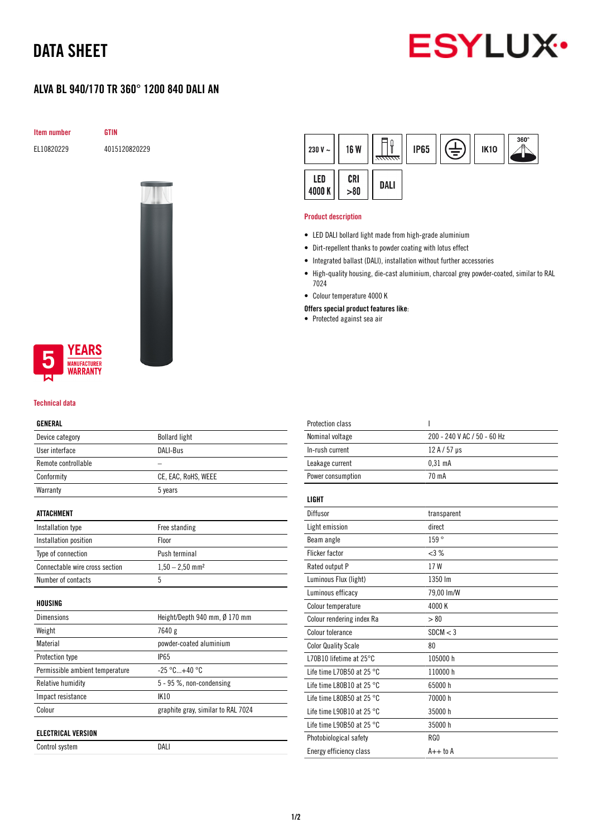## DATA SHEET



### ALVA BL 940/170 TR 360° 1200 840 DALI AN

Item number GTIN

EL10820229 4015120820229



### **YEARS MANUFACTURER** WARRANTY

#### Technical data

#### GENERAL

| Device category                 | <b>Bollard light</b>               |
|---------------------------------|------------------------------------|
| User interface                  | DALI-Bus                           |
| Remote controllable             |                                    |
| Conformity                      | CE, EAC, RoHS, WEEE                |
| Warranty                        | 5 years                            |
|                                 |                                    |
| ATTACHMENT                      |                                    |
| Installation type               | Free standing                      |
| Installation position           | Floor                              |
| Type of connection              | Push terminal                      |
| Connectable wire cross section  | $1,50 - 2,50$ mm <sup>2</sup>      |
| Number of contacts              | 5                                  |
|                                 |                                    |
| HOUSING                         |                                    |
| <b>Dimensions</b>               | Height/Depth 940 mm, Ø 170 mm      |
| Weight                          | 7640 g                             |
| Material                        | powder-coated aluminium            |
| Protection type                 | <b>IP65</b>                        |
| Permissible ambient temperature | $-25 °C+40 °C$                     |
| Relative humidity               | 5 - 95 %, non-condensing           |
| Impact resistance               | <b>IK10</b>                        |
| Colour                          | graphite gray, similar to RAL 7024 |
|                                 |                                    |
| <b>ELECTRICAL VERSION</b>       |                                    |
| Control system                  | DALI                               |

| 230 V $\sim$ | <b>16 W</b> | <del>ललल</del> | <b>IP65</b> | ŧ | <b>IK10</b> | $360^\circ$ |
|--------------|-------------|----------------|-------------|---|-------------|-------------|
| LED<br>4000K | CRI<br>>80  | DALI           |             |   |             |             |

#### Product description

- LED DALI bollard light made from high-grade aluminium
- Dirt-repellent thanks to powder coating with lotus effect
- Integrated ballast (DALI), installation without further accessories
- High-quality housing, die-cast aluminium, charcoal grey powder-coated, similar to RAL 7024
- Colour temperature 4000 K
- Offers special product features like:
- Protected against sea air

| ı                           |
|-----------------------------|
| 200 - 240 V AC / 50 - 60 Hz |
| 12 A / 57 µs                |
| 0.31 <sub>m</sub> A         |
| 70 mA                       |
|                             |
|                             |
| transparent                 |
| direct                      |
| 159°                        |
| $<3\%$                      |
| 17 W                        |
| 1350 lm                     |
| 79,00 lm/W                  |
| 4000 K                      |
| > 80                        |
| SDCM < 3                    |
| 80                          |
| 105000 h                    |
| 110000h                     |
| 65000h                      |
| 70000 h                     |
| 35000 h                     |
| 35000h                      |
| RG <sub>0</sub>             |
| $A++$ to $A$                |
|                             |